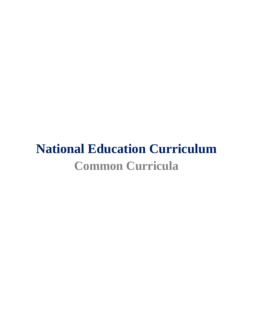# **National Education Curriculum Common Curricula**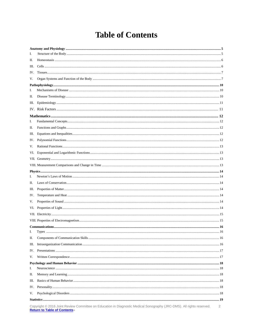# **Table of Contents**

<span id="page-1-0"></span>

| I.  |  |  |  |
|-----|--|--|--|
| П.  |  |  |  |
| Ш.  |  |  |  |
| IV. |  |  |  |
| V.  |  |  |  |
|     |  |  |  |
| I.  |  |  |  |
| П.  |  |  |  |
| Ш.  |  |  |  |
|     |  |  |  |
|     |  |  |  |
| I.  |  |  |  |
| П.  |  |  |  |
| Ш.  |  |  |  |
| IV. |  |  |  |
| V.  |  |  |  |
| VI. |  |  |  |
|     |  |  |  |
|     |  |  |  |
|     |  |  |  |
| L.  |  |  |  |
| П.  |  |  |  |
| Ш.  |  |  |  |
| IV. |  |  |  |
| V.  |  |  |  |
|     |  |  |  |
|     |  |  |  |
|     |  |  |  |
|     |  |  |  |
| I.  |  |  |  |
| П.  |  |  |  |
| Ш.  |  |  |  |
| IV. |  |  |  |
| V.  |  |  |  |
|     |  |  |  |
| I.  |  |  |  |
| П.  |  |  |  |
| Ш.  |  |  |  |
| IV. |  |  |  |
| V.  |  |  |  |
|     |  |  |  |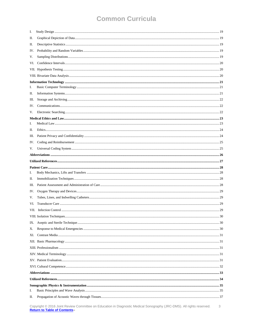| I.  |  |
|-----|--|
| П.  |  |
| П.  |  |
| IV. |  |
| V.  |  |
| VI. |  |
|     |  |
|     |  |
|     |  |
| I.  |  |
| П.  |  |
| Ш.  |  |
| IV. |  |
| V.  |  |
|     |  |
| I.  |  |
| П.  |  |
| Ш.  |  |
| IV. |  |
| V.  |  |
|     |  |
|     |  |
|     |  |
|     |  |
| I.  |  |
| П.  |  |
| Ш.  |  |
| IV. |  |
| V.  |  |
| VI. |  |
|     |  |
|     |  |
| IX. |  |
| Х.  |  |
| XI. |  |
|     |  |
|     |  |
|     |  |
|     |  |
|     |  |
|     |  |
|     |  |
|     |  |
| I.  |  |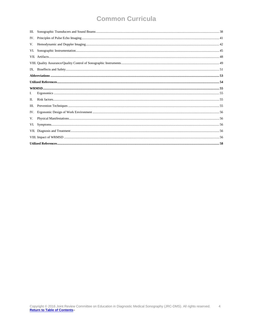| Ш.  |  |  |  |
|-----|--|--|--|
| IV. |  |  |  |
| V.  |  |  |  |
| VI. |  |  |  |
|     |  |  |  |
|     |  |  |  |
|     |  |  |  |
|     |  |  |  |
|     |  |  |  |
|     |  |  |  |
|     |  |  |  |
| Π.  |  |  |  |
| Ш.  |  |  |  |
| IV. |  |  |  |
| V.  |  |  |  |
| VI. |  |  |  |
|     |  |  |  |
|     |  |  |  |
|     |  |  |  |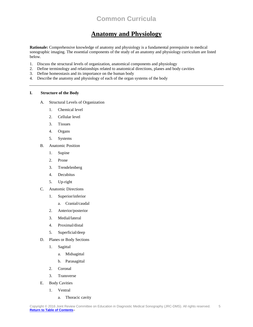### **Anatomy and Physiology**

<span id="page-4-0"></span>**Rationale:** Comprehensive knowledge of anatomy and physiology is a fundamental prerequisite to medical sonographic imaging. The essential components of the study of an anatomy and physiology curriculum are listed below.

- 1. Discuss the structural levels of organization, anatomical components and physiology
- 2. Define terminology and relationships related to anatomical directions, planes and body cavities
- 3. Define homeostasis and its importance on the human body
- 4. Describe the anatomy and physiology of each of the organ systems of the body

### <span id="page-4-1"></span>**I. Structure of the Body**

- A. Structural Levels of Organization
	- 1. Chemical level
	- 2. Cellular level
	- 3. Tissues
	- 4. Organs
	- 5. Systems
- B. Anatomic Position
	- 1. Supine
	- 2. Prone
	- 3. Trendelenberg
	- 4. Decubitus
	- 5. Up-right
- C. Anatomic Directions
	- 1. Superior/inferior
		- a. Cranial/caudal
	- 2. Anterior/posterior
	- 3. Medial/lateral
	- 4. Proximal/distal
	- 5. Superficial/deep
- D. Planes or Body Sections
	- 1. Sagittal
		- a. Midsagittal
		- b. Parasagittal
	- 2. Coronal
	- 3. Transverse
- E. Body Cavities
	- 1. Ventral
		- a. Thoracic cavity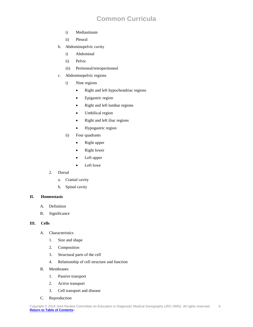- i) Mediastinum
- ii) Pleural
- b. Abdominopelvic cavity
	- i) Abdominal
	- ii) Pelvic
	- iii) Peritoneal/retroperitoneal
- c. Abdominopelvic regions
	- i) Nine regions
		- Right and left hypochondriac regions
		- Epigastric region
		- Right and left lumbar regions
		- Umbilical region
		- Right and left iliac regions
		- Hypogastric region
	- ii) Four quadrants
		- Right upper
		- Right lower
		- Left upper
		- Left lowe
- 2. Dorsal
	- a. Cranial cavity
	- b. Spinal cavity

### <span id="page-5-0"></span>**II. Homeostasis**

- A. Definition
- B. Significance

#### <span id="page-5-1"></span>**III. Cells**

- A. Characteristics
	- 1. Size and shape
	- 2. Composition
	- 3. Structural parts of the cell
	- 4. Relationship of cell structure and function
- B. Membranes
	- 1. Passive transport
	- 2. Active transport
	- 3. Cell transport and disease
- C. Reproduction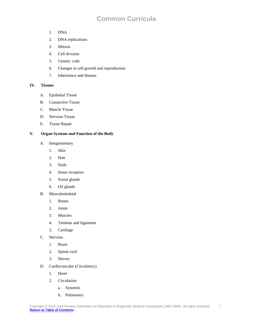- 1. DNA
- 2. DNA replications
- 3. Mitosis
- 4. Cell division
- 5. Genetic code
- 6. Changes in cell growth and reproduction
- 7. Inheritance and disease

### <span id="page-6-0"></span>**IV. Tissues**

- A. Epithelial Tissue
- B. Connective Tissue
- C. Muscle Tissue
- D. Nervous Tissue
- E. Tissue Repair

### <span id="page-6-1"></span>**V. Organ Systems and Function of the Body**

- A. Integumentary
	- 1. Skin
	- 2. Hair
	- 3. Nails
	- 4. Sense receptors
	- 5. Sweat glands
	- 6. Oil glands
- B. Musculoskeletal
	- 1. Bones
	- 2. Joints
	- 3. Muscles
	- 4. Tendons and ligaments
	- 5. Cartilage
- C. Nervous
	- 1. Brain
	- 2. Spinal cord
	- 3. Nerves
- D. Cardiovascular (Circulatory)
	- 1. Heart
	- 2. Circulation
		- a. Systemic
		- b. Pulmonary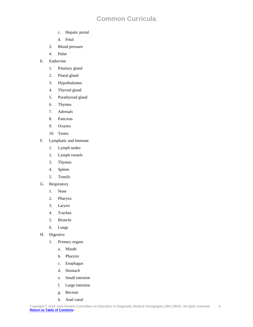- c. Hepatic portal
- d. Fetal
- 3. Blood pressure
- 4. Pulse
- E. Endocrine
	- 1. Pituitary gland
	- 2. Pineal gland
	- 3. Hypothalamus
	- 4. Thyroid gland
	- 5. Parathyroid gland
	- 6. Thymus
	- 7. Adrenals
	- 8. Pancreas
	- 9. Ovaries
	- 10. Testes
- F. Lymphatic and Immune
	- 1. Lymph nodes
	- 2. Lymph vessels
	- 3. Thymus
	- 4. Spleen
	- 5. Tonsils
- G. Respiratory
	- 1. Nose
	- 2. Pharynx
	- 3. Larynx
	- 4. Trachea
	- 5. Bronchi
	- 6. Lungs
- H. Digestive
	- 1. Primary organs
		- a. Mouth
		- b. Pharynx
		- c. Esophagus
		- d. Stomach
		- e. Small intestine
		- f. Large intestine
		- g. Rectum
		- h. Anal canal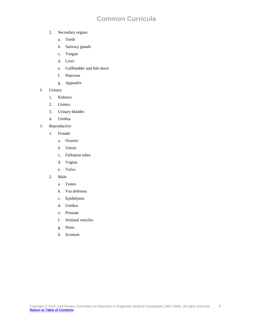- 2. Secondary organs
	- a. Teeth
	- b. Salivary glands
	- c. Tongue
	- d. Liver
	- e. Gallbladder and bile ducts
	- f. Pancreas
	- g. Appendix
- I. Urinary
	- 1. Kidneys
	- 2. Ureters
	- 3. Urinary bladder
	- 4. Urethra
- J. Reproductive
	- 1. Female
		- a. Ovaries
		- b. Uterus
		- c. Fallopian tubes
		- d. Vagina
		- e. Vulva
	- 2. Male
		- a. Testes
		- b. Vas deferens
		- c. Epididymis
		- d. Urethra
		- e. Prostate
		- f. Seminal vesicles
		- g. Penis
		- h. Scrotum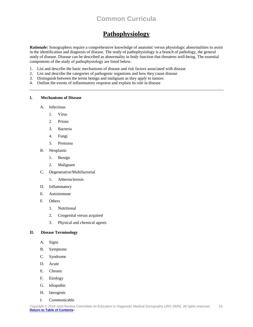# **Pathophysiology**

<span id="page-9-0"></span>**Rationale:** Sonographers require a comprehensive knowledge of anatomic versus physiologic abnormalities to assist in the identification and diagnosis of disease. The study of pathophysiology is a branch of pathology, the general study of disease. Disease can be described as abnormality in body function that threatens well-being. The essential components of the study of pathophysiology are listed below.

- 1. List and describe the basic mechanisms of disease and risk factors associated with disease
- 2. List and describe the categories of pathogenic organisms and how they cause disease
- 3. Distinguish between the terms benign and malignant as they apply to tumors
- 4. Outline the events of inflammatory response and explain its role in disease

### <span id="page-9-1"></span>**I. Mechanisms of Disease**

- A. Infectious
	- 1. Virus
	- 2. Prions
	- 3. Bacteria
	- 4. Fungi
	- 5. Protozoa
- B. Neoplastic
	- 1. Benign
	- 2. Malignant
- C. Degenerative/Multifactorial
	- 1. Atherosclerosis
- D. Inflammatory
- E. Autoimmune
- F. Others
	- 1. Nutritional
	- 2. Congenital versus acquired
	- 3. Physical and chemical agents

### <span id="page-9-2"></span>**II. Disease Terminology**

- A. Signs
- B. Symptoms
- C. Syndrome
- D. Acute
- E. Chronic
- F. Etiology
- G. Idiopathic
- H. Iatrogenic
- I. Communicable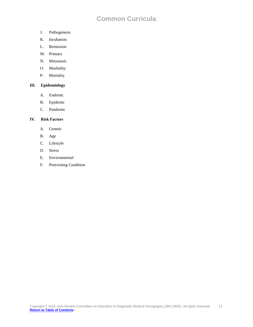- J. Pathogenesis
- K. Incubation
- L. Remission
- M. Primary
- N. Metastasis
- O. Morbidity
- P. Mortality

### <span id="page-10-0"></span>**III. Epidemiology**

- A. Endemic
- B. Epidemic
- C. Pandemic

### <span id="page-10-1"></span>**IV. Risk Factors**

- A. Genetic
- B. Age
- C. Lifestyle
- D. Stress
- E. Environmental
- F. Preexisting Condition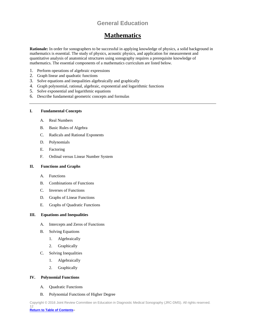# **Mathematics**

<span id="page-11-0"></span>**Rationale:** In order for sonographers to be successful in applying knowledge of physics, a solid background in mathematics is essential. The study of physics, acoustic physics, and application for measurement and quantitative analysis of anatomical structures using sonography requires a prerequisite knowledge of mathematics. The essential components of a mathematics curriculum are listed below.

- 1. Perform operations of algebraic expressions
- 2. Graph linear and quadratic functions
- 3. Solve equations and inequalities algebraically and graphically
- 4. Graph polynomial, rational, algebraic, exponential and logarithmic functions
- 5. Solve exponential and logarithmic equations
- 6. Describe fundamental geometric concepts and formulas

### <span id="page-11-1"></span>**I. Fundamental Concepts**

- A. Real Numbers
- B. Basic Rules of Algebra
- C. Radicals and Rational Exponents
- D. Polynomials
- E. Factoring
- F. Ordinal versus Linear Number System

### <span id="page-11-2"></span>**II. Functions and Graphs**

- A. Functions
- B. Combinations of Functions
- C. Inverses of Functions
- D. Graphs of Linear Functions
- E. Graphs of Quadratic Functions

### <span id="page-11-3"></span>**III. Equations and Inequalities**

- A. Intercepts and Zeros of Functions
- B. Solving Equations
	- 1. Algebraically
	- 2. Graphically
- C. Solving Inequalities
	- 1. Algebraically
	- 2. Graphically

### <span id="page-11-4"></span>**IV. Polynomial Functions**

- A. Quadratic Functions
- B. Polynomial Functions of Higher Degree

Copyright © 2016 Joint Review Committee on Education in Diagnostic Medical Sonography (JRC-DMS). All rights reserved. 12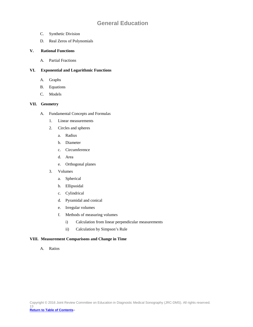- C. Synthetic Division
- D. Real Zeros of Polynomials

### <span id="page-12-0"></span>**V. Rational Functions**

A. Partial Fractions

### <span id="page-12-1"></span>**VI. Exponential and Logarithmic Functions**

- A. Graphs
- B. Equations
- C. Models

### <span id="page-12-2"></span>**VII. Geometry**

- A. Fundamental Concepts and Formulas
	- 1. Linear measurements
	- 2. Circles and spheres
		- a. Radius
		- b. Diameter
		- c. Circumference
		- d. Area
		- e. Orthogonal planes
	- 3. Volumes
		- a. Spherical
		- b. Ellipsoidal
		- c. Cylindrical
		- d. Pyramidal and conical
		- e. Irregular volumes
		- f. Methods of measuring volumes
			- i) Calculation from linear perpendicular measurements
			- ii) Calculation by Simpson's Rule

### <span id="page-12-3"></span>**VIII. Measurement Comparisons and Change in Time**

A. Ratios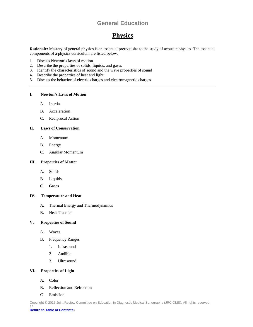# **Physics**

<span id="page-13-0"></span>**Rationale:** Mastery of general physics is an essential prerequisite to the study of acoustic physics. The essential components of a physics curriculum are listed below.

- 1. Discuss Newton's laws of motion
- 2. Describe the properties of solids, liquids, and gases
- 3. Identify the characteristics of sound and the wave properties of sound
- 4. Describe the properties of heat and light
- 5. Discuss the behavior of electric charges and electromagnetic charges

### <span id="page-13-1"></span>**I. Newton's Laws of Motion**

- A. Inertia
- B. Acceleration
- C. Reciprocal Action

### <span id="page-13-2"></span>**II. Laws of Conservation**

- A. Momentum
- B. Energy
- C. Angular Momentum

### <span id="page-13-3"></span>**III. Properties of Matter**

- A. Solids
- B. Liquids
- C. Gases

#### <span id="page-13-4"></span>**IV. Temperature and Heat**

- A. Thermal Energy and Thermodynamics
- B. Heat Transfer

### <span id="page-13-5"></span>**V. Properties of Sound**

- A. Waves
- B. Frequency Ranges
	- 1. Infrasound
	- 2. Audible
	- 3. Ultrasound

### <span id="page-13-6"></span>**VI. Properties of Light**

- A. Color
- B. Reflection and Refraction
- C. Emission

Copyright © 2016 Joint Review Committee on Education in Diagnostic Medical Sonography (JRC-DMS). All rights reserved. 14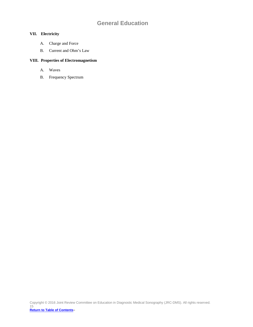### <span id="page-14-0"></span>**VII. Electricity**

- A. Charge and Force
- B. Current and Ohm's Law

### <span id="page-14-1"></span>**VIII. Properties of Electromagnetism**

- A. Waves
- B. Frequency Spectrum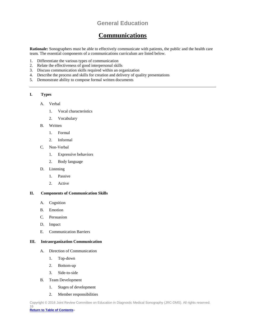### **Communications**

<span id="page-15-0"></span>**Rationale:** Sonographers must be able to effectively communicate with patients, the public and the health care team. The essential components of a communications curriculum are listed below.

- 1. Differentiate the various types of communication
- 2. Relate the effectiveness of good interpersonal skills 3. Discuss communication skills required within an org
- 3. Discuss communication skills required within an organization
- 4. Describe the process and skills for creation and delivery of quality presentations
- 5. Demonstrate ability to compose formal written documents

#### <span id="page-15-1"></span>**I. Types**

#### A. Verbal

- 1. Vocal characteristics
- 2. Vocabulary
- B. Written
	- 1. Formal
	- 2. Informal
- C. Non-Verbal
	- 1. Expressive behaviors
	- 2. Body language
- D. Listening
	- 1. Passive
	- 2. Active

### <span id="page-15-2"></span>**II. Components of Communication Skills**

- A. Cognition
- B. Emotion
- C. Persuasion
- D. Impact
- E. Communication Barriers

### <span id="page-15-3"></span>**III. Intraorganization Communication**

- A. Direction of Communication
	- 1. Top-down
	- 2. Bottom-up
	- 3. Side-to-side
- B. Team Development
	- 1. Stages of development
	- 2. Member responsibilities

Copyright © 2016 Joint Review Committee on Education in Diagnostic Medical Sonography (JRC-DMS). All rights reserved. 16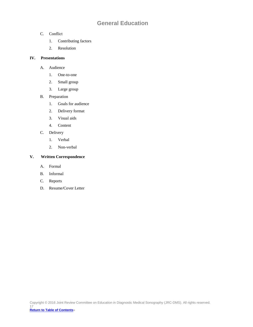- C. Conflict
	- 1. Contributing factors
	- 2. Resolution

### <span id="page-16-0"></span>**IV. Presentations**

- A. Audience
	- 1. One-to-one
	- 2. Small group
	- 3. Large group
- B. Preparation
	- 1. Goals for audience
	- 2. Delivery format
	- 3. Visual aids
	- 4. Content
- C. Delivery
	- 1. Verbal
	- 2. Non-verbal

### <span id="page-16-1"></span>**V. Written Correspondence**

- A. Formal
- B. Informal
- C. Reports
- D. Resume/Cover Letter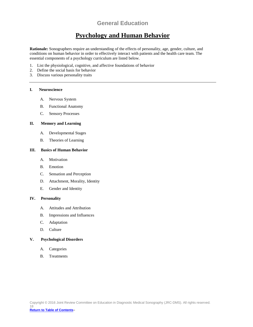### **Psychology and Human Behavior**

<span id="page-17-0"></span>**Rationale:** Sonographers require an understanding of the effects of personality, age, gender, culture, and conditions on human behavior in order to effectively interact with patients and the health care team. The essential components of a psychology curriculum are listed below.

- 1. List the physiological, cognitive, and affective foundations of behavior 2. Define the social basis for behavior
- 2. Define the social basis for behavior
- 3. Discuss various personality traits

### <span id="page-17-1"></span>**I. Neuroscience**

- A. Nervous System
- B. Functional Anatomy
- C. Sensory Processes

### <span id="page-17-2"></span>**II. Memory and Learning**

- A. Developmental Stages
- B. Theories of Learning

### <span id="page-17-3"></span>**III. Basics of Human Behavior**

- A. Motivation
- B. Emotion
- C. Sensation and Perception
- D. Attachment, Morality, Identity
- E. Gender and Identity

#### <span id="page-17-4"></span>**IV. Personality**

- A. Attitudes and Attribution
- B. Impressions and Influences
- C. Adaptation
- D. Culture

#### <span id="page-17-5"></span>**V. Psychological Disorders**

- A. Categories
- B. Treatments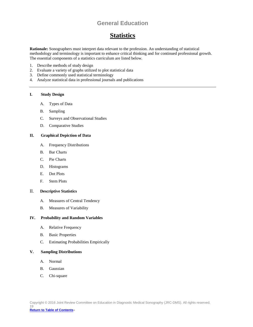# **Statistics**

<span id="page-18-0"></span>**Rationale:** Sonographers must interpret data relevant to the profession. An understanding of statistical methodology and terminology is important to enhance critical thinking and for continued professional growth. The essential components of a statistics curriculum are listed below.

- 1. Describe methods of study design<br>2. Evaluate a variety of graphs utilize
- 2. Evaluate a variety of graphs utilized to plot statistical data
- 3. Define commonly used statistical terminology
- 4. Analyze statistical data in professional journals and publications

#### <span id="page-18-1"></span>**I. Study Design**

- A. Types of Data
- B. Sampling
- C. Surveys and Observational Studies
- D. Comparative Studies

### <span id="page-18-2"></span>**II. Graphical Depiction of Data**

- A. Frequency Distributions
- B. Bar Charts
- C. Pie Charts
- D. Histograms
- E. Dot Plots
- F. Stem Plots

### <span id="page-18-3"></span>II. **Descriptive Statistics**

- A. Measures of Central Tendency
- B. Measures of Variability

#### <span id="page-18-4"></span>**IV. Probability and Random Variables**

- A. Relative Frequency
- B. Basic Properties
- C. Estimating Probabilities Empirically

### <span id="page-18-5"></span>**V. Sampling Distributions**

- A. Normal
- B. Gaussian
- C. Chi-square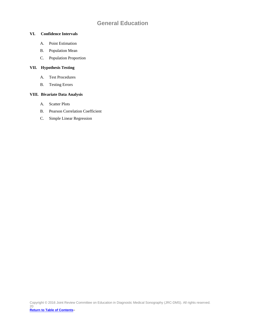### <span id="page-19-0"></span>**VI. Confidence Intervals**

- A. Point Estimation
- B. Population Mean
- C. Population Proportion

### <span id="page-19-1"></span>**VII. Hypothesis Testing**

- A. Test Procedures
- B. Testing Errors

### <span id="page-19-2"></span>**VIII. Bivariate Data Analysis**

- A. Scatter Plots
- B. Pearson Correlation Coefficient
- C. Simple Linear Regression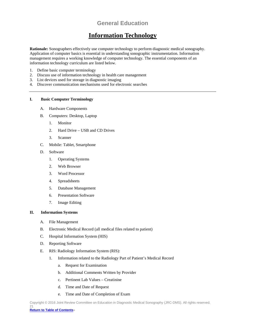### **Information Technology**

<span id="page-20-0"></span>**Rationale:** Sonographers effectively use computer technology to perform diagnostic medical sonography. Application of computer basics is essential in understanding sonographic instrumentation. Information management requires a working knowledge of computer technology. The essential components of an information technology curriculum are listed below.

- 1. Define basic computer terminology
- 2. Discuss use of information technology in health care management
- 3. List devices used for storage in diagnostic imaging
- 4. Discover communication mechanisms used for electronic searches

### <span id="page-20-1"></span>**I. Basic Computer Terminology**

- A. Hardware Components
- B. Computers: Desktop, Laptop
	- 1. Monitor
	- 2. Hard Drive USB and CD Drives
	- 3. Scanner
- C. Mobile: Tablet, Smartphone
- D. Software
	- 1. Operating Systems
	- 2. Web Browser
	- 3. Word Processor
	- 4. Spreadsheets
	- 5. Database Management
	- 6. Presentation Software
	- 7. Image Editing

#### <span id="page-20-2"></span>**II. Information Systems**

- A. File Management
- B. Electronic Medical Record (all medical files related to patient)
- C. Hospital Information System (HIS)
- D. Reporting Software
- E. RIS: Radiology Information System (RIS):
	- 1. Information related to the Radiology Part of Patient's Medical Record
		- a. Request for Examination
		- b. Additional Comments Written by Provider
		- c. Pertinent Lab Values Creatinine
		- d. Time and Date of Request
		- e. Time and Date of Completion of Exam

Copyright © 2016 Joint Review Committee on Education in Diagnostic Medical Sonography (JRC-DMS). All rights reserved. 21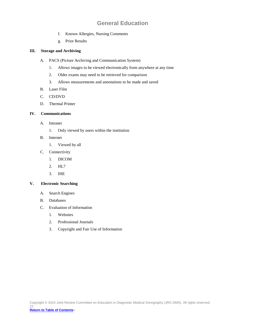- f. Known Allergies, Nursing Comments
- g. Prior Results

### <span id="page-21-0"></span>**III. Storage and Archiving**

- A. PACS (Picture Archiving and Communication System)
	- 1. Allows images to be viewed electronically from anywhere at any time
	- 2. Older exams may need to be retrieved for comparison
	- 3. Allows measurements and annotations to be made and saved
- B. Laser Film
- C. CD/DVD
- D. Thermal Printer

### <span id="page-21-1"></span>**IV. Communications**

- A. Intranet
	- 1. Only viewed by users within the institution
- B. Internet
	- 1. Viewed by all
- C. Connectivity
	- 1. DICOM
	- 2. HL7
	- 3. IHE

### <span id="page-21-2"></span>**V. Electronic Searching**

- A. Search Engines
- B. Databases
- C. Evaluation of Information
	- 1. Websites
	- 2. Professional Journals
	- 3. Copyright and Fair Use of Information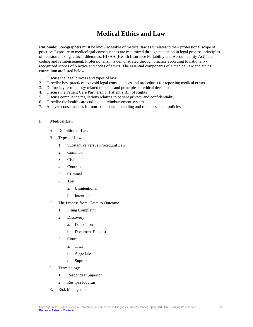# **Medical Ethics and Law**

<span id="page-22-0"></span>**Rationale:** Sonographers must be knowledgeable of medical law as it relates to their professional scope of practice. Exposure to medicolegal consequences are minimized through education in legal process, principles of decision making, ethical dilemmas, HIPAA (Health Insurance Portability and Accountability Act), and coding and reimbursement. Professionalism is demonstrated through practice according to nationallyrecognized scopes of practice and codes of ethics. The essential components of a medical law and ethics curriculum are listed below.

- 1. Discuss the legal process and types of law
- 2. Describe best practices to avoid legal consequences and procedures for reporting medical errors
- 3. Define key terminology related to ethics and principles of ethical decisions
- 4. Discuss the Patient Care Partnership (Patient's Bill of Rights)
- 5. Discuss compliance regulations relating to patient privacy and confidentiality
- 6. Describe the health care coding and reimbursement system
- 7. Analyze consequences for non-compliance to coding and reimbursement policies

### <span id="page-22-1"></span>**I. Medical Law**

- A. Definition of Law
- B. Types of Law
	- 1. Substantive versus Procedural Law
	- 2. Common
	- 3. Civil
	- 4. Contract
	- 5. Criminal
	- 6. Tort
		- a. Unintentional
		- b. Intentional
- C. The Process from Claim to Outcome
	- 1. Filing Complaint
	- 2. Discovery
		- a. Depositions
		- b. Document Request
	- 3. Court
		- a. Trial
		- b. Appellate
		- c. Supreme
- D. Terminology
	- 1. Respondeat Superior
	- 2. Res ipsa loquitur
- E. Risk Management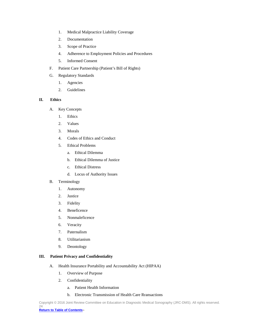- 1. Medical Malpractice Liability Coverage
- 2. Documentation
- 3. Scope of Practice
- 4. Adherence to Employment Policies and Procedures
- 5. Informed Consent
- F. Patient Care Partnership (Patient's Bill of Rights)
- G. Regulatory Standards
	- 1. Agencies
	- 2. Guidelines

### <span id="page-23-0"></span>**II. Ethics**

- A. Key Concepts
	- 1. Ethics
	- 2. Values
	- 3. Morals
	- 4. Codes of Ethics and Conduct
	- 5. Ethical Problems
		- a. Ethical Dilemma
		- b. Ethical Dilemma of Justice
		- c. Ethical Distress
		- d. Locus of Authority Issues

### B. Terminology

- 1. Autonomy
- 2. Justice
- 3. Fidelity
- 4. Beneficence
- 5. Nonmaleficence
- 6. Veracity
- 7. Paternalism
- 8. Utilitarianism
- 9. Deontology

### <span id="page-23-1"></span>**III. Patient Privacy and Confidentiality**

- A. Health Insurance Portability and Accountability Act (HIPAA)
	- 1. Overview of Purpose
	- 2. Confidentiality
		- a. Patient Health Information
		- b. Electronic Transmission of Health Care Rransactions

Copyright © 2016 Joint Review Committee on Education in Diagnostic Medical Sonography (JRC-DMS). All rights reserved. 24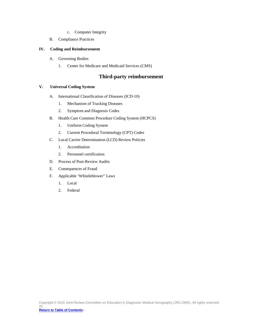- c. Computer Integrity
- B. Compliance Practices

### <span id="page-24-0"></span>**IV. Coding and Reimbursement**

- A. Governing Bodies
	- 1. Center for Medicare and Medicaid Services (CMS)

### **Third-party reimbursement**

### <span id="page-24-1"></span>**V. Universal Coding System**

- A. International Classification of Diseases (ICD-10)
	- 1. Mechanism of Tracking Diseases
	- 2. Symptom and Diagnosis Codes
- B. Health Care Common Procedure Coding System (HCPCS)
	- 1. Uniform Coding System
	- 2. Current Procedural Terminology (CPT) Codes
- C. Local Carrier Determination (LCD) Review Policies
	- 1. Accreditation
	- 2. Personnel certification
- D. Process of Post-Review Audits
- E. Consequences of Fraud
- F. Applicable 'Whistleblower" Laws
	- 1. Local
	- 2. Federal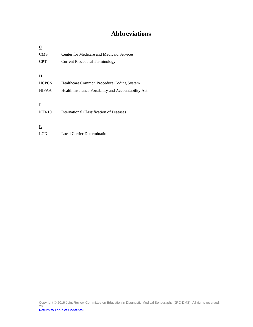# **Abbreviations**

<span id="page-25-0"></span>

| $\overline{C}$          |                                                     |
|-------------------------|-----------------------------------------------------|
| <b>CMS</b>              | Center for Medicare and Medicaid Services           |
| <b>CPT</b>              | <b>Current Procedural Terminology</b>               |
|                         |                                                     |
| $\overline{\mathbf{H}}$ |                                                     |
| <b>HCPCS</b>            | Healthcare Common Procedure Coding System           |
| <b>HIPAA</b>            | Health Insurance Portability and Accountability Act |
|                         |                                                     |
| $\bf{l}$                |                                                     |
| $ICD-10$                | International Classification of Diseases            |
|                         |                                                     |
| $\overline{\mathbf{r}}$ |                                                     |
| <b>LCD</b>              | Local Carrier Determination                         |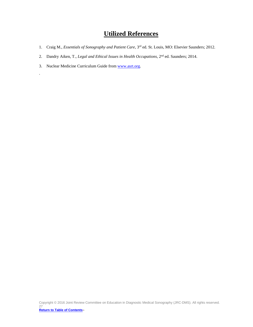# **Utilized References**

- <span id="page-26-0"></span>1. Craig M., *Essentials of Sonography and Patient Care*, 3rd ed. St. Louis, MO: Elsevier Saunders; 2012.
- 2. Dandry Aiken, T., *Legal and Ethical Issues in Health Occupations*, 2nd ed. Saunders; 2014.
- 3. Nuclear Medicine Curriculum Guide from [www.asrt.org.](http://www.asrt.org/)

.

Copyright © 2016 Joint Review Committee on Education in Diagnostic Medical Sonography (JRC-DMS). All rights reserved. 27 **[Return to Table of Contents](#page-1-0)**»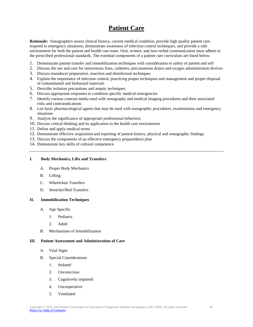# **Patient Care**

<span id="page-27-0"></span>**Rationale:** Sonographers assess clinical history, current medical condition, provide high quality patient care, respond to emergency situations, demonstrate awareness of infection control techniques, and provide a safe environment for both the patient and health care team. Oral, written, and non-verbal communication must adhere to the prescribed professional standards. The essential components of a patient care curriculum are listed below.

- 1. Demonstrate patient transfer and immobilization techniques with consideration to safety of patient and self
- 2. Discuss the use and care for intravenous lines, catheters, percutaneous drains and oxygen administration devices
- 3. Discuss transducer preparation, insertion and disinfectant techniques
- 4. Explain the importance of infection control, practicing proper techniques and management and proper disposal of contaminated and biohazard materials
- 5. Describe isolation precautions and aseptic techniques
- 6. Discuss appropriate responses to condition specific medical emergencies
- 7. Identify various contrast media used with sonography and medical imaging procedures and their associated risks and contraindications
- 8. List basic pharmacological agents that may be used with sonographic procedures, examinations and emergency situations
- 9. Analyze the significance of appropriate professional behaviors
- 10. Discuss critical thinking and its application to the health care environment
- 11. Define and apply medical terms
- 12. Demonstrate effective acquisition and reporting of patient history, physical and sonographic findings
- 13. Discuss the components of an effective emergency preparedness plan
- 14. Demonstrate key skills of cultural competence

### <span id="page-27-1"></span>**I. Body Mechanics, Lifts and Transfers**

- A. Proper Body Mechanics
- B. Lifting
- C. Wheelchair Transfers
- D. Stretcher/Bed Transfers

### <span id="page-27-2"></span>**II. Immobilization Techniques**

- A. Age Specific
	- 1. Pediatric
	- 2. Adult
- B. Mechanisms of Immobilization

#### <span id="page-27-3"></span>**III. Patient Assessment and Administration of Care**

- A. Vital Signs
- B. Special Considerations
	- 1. Sedated
	- 2. Unconscious
	- 3. Cognitively impaired
	- 4. Uncooperative
	- 5. Ventilated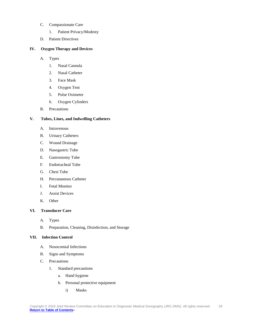- C. Compassionate Care
	- 1. Patient Privacy/Modesty
- D. Patient Directives

### <span id="page-28-0"></span>**IV. Oxygen Therapy and Devices**

### A. Types

- 1. Nasal Cannula
- 2. Nasal Catheter
- 3. Face Mask
- 4. Oxygen Tent
- 5. Pulse Oximeter
- 6. Oxygen Cylinders
- B. Precautions

### <span id="page-28-1"></span>**V. Tubes, Lines, and Indwelling Catheters**

- A. Intravenous
- B. Urinary Catheters
- C. Wound Drainage
- D. Nasogastric Tube
- E. Gastrostomy Tube
- F. Endotracheal Tube
- G. Chest Tube
- H. Percutaneous Catheter
- I. Fetal Monitor
- J. Assist Devices
- K. Other

### <span id="page-28-2"></span>**VI. Transducer Care**

- A. Types
- B. Preparation, Cleaning, Disinfection, and Storage

### <span id="page-28-3"></span>**VII. Infection Control**

- A. Nosocomial Infections
- B. Signs and Symptoms
- C. Precautions
	- 1. Standard precautions
		- a. Hand hygiene
		- b. Personal protective equipment
			- i) Masks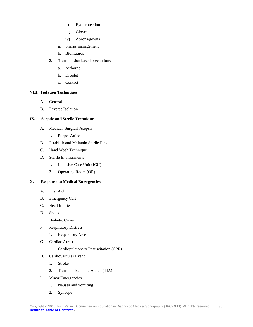- ii) Eye protection
- iii) Gloves
- iv) Aprons/gowns
- a. Sharps management
- b. Biohazards
- 2. Transmission based precautions
	- a. Airborne
	- b. Droplet
	- c. Contact

### <span id="page-29-0"></span>**VIII. Isolation Techniques**

- A. General
- B. Reverse Isolation

### <span id="page-29-1"></span>**IX. Aseptic and Sterile Technique**

- A. Medical, Surgical Asepsis
	- 1. Proper Attire
- B. Establish and Maintain Sterile Field
- C. Hand Wash Technique
- D. Sterile Environments
	- 1. Intensive Care Unit (ICU)
	- 2. Operating Room (OR)

### <span id="page-29-2"></span>**X. Response to Medical Emergencies**

- A. First Aid
- B. Emergency Cart
- C. Head Injuries
- D. Shock
- E. Diabetic Crisis
- F. Respiratory Distress
	- 1. Respiratory Arrest
- G. Cardiac Arrest
	- 1. Cardiopulmonary Resuscitation (CPR)
- H. Cardiovascular Event
	- 1. Stroke
	- 2. Transient Ischemic Attack (TIA)
- I. Minor Emergencies
	- 1. Nausea and vomiting
	- 2. Syncope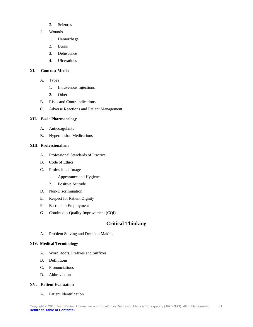- 3. Seizures
- J. Wounds
	- 1. Hemorrhage
	- 2. Burns
	- 3. Dehiscence
	- 4. Ulcerations

### <span id="page-30-0"></span>**XI. Contrast Media**

- A. Types
	- 1. Intravenous Injections
	- 2. Other
- B. Risks and Contraindications
- C. Adverse Reactions and Patient Management

### <span id="page-30-1"></span>**XII. Basic Pharmacology**

- A. Anticoagulants
- B. Hypertension Medications

### <span id="page-30-2"></span>**XIII. Professionalism**

- A. Professional Standards of Practice
- B. Code of Ethics
- C. Professional Image
	- 1. Appearance and Hygiene
	- 2. Positive Attitude
- D. Non-Discrimination
- E. Respect for Patient Dignity
- F. Barriers to Employment
- G. Continuous Quality Improvement (CQI)

### **Critical Thinking**

A. Problem Solving and Decision Making

### <span id="page-30-3"></span>**XIV. Medical Terminology**

- A. Word Roots, Prefixes and Suffixes
- B. Definitions
- C. Pronunciations
- D. Abbreviations

### <span id="page-30-4"></span>**XV. Patient Evaluation**

A. Patient Identification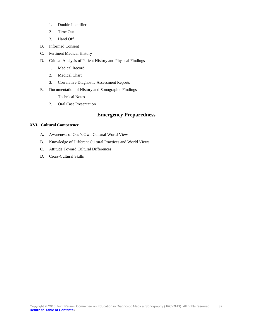- 1. Double Identifier
- 2. Time Out
- 3. Hand Off
- B. Informed Consent
- C. Pertinent Medical History
- D. Critical Analysis of Patient History and Physical Findings
	- 1. Medical Record
	- 2. Medical Chart
	- 3. Correlative Diagnostic Assessment Reports
- E. Documentation of History and Sonographic Findings
	- 1. Technical Notes
	- 2. Oral Case Presentation

### **Emergency Preparedness**

### <span id="page-31-0"></span>**XVI. Cultural Competence**

- A. Awareness of One's Own Cultural World View
- B. Knowledge of Different Cultural Practices and World Views
- C. Attitude Toward Cultural Differences
- D. Cross-Cultural Skills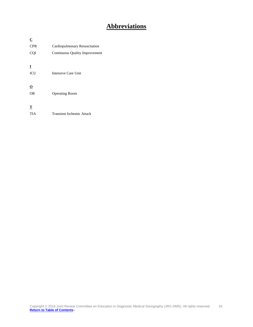# **Abbreviations**

<span id="page-32-0"></span>

| $\underline{\mathbf{C}}$ |                                |
|--------------------------|--------------------------------|
| <b>CPR</b>               | Cardiopulmonary Resuscitation  |
| <b>COI</b>               | Continuous Quality Improvement |
|                          |                                |
| I                        |                                |
| <b>ICU</b>               | Intensive Care Unit            |
|                          |                                |
| $\overline{\mathbf{O}}$  |                                |
| <b>OR</b>                | <b>Operating Room</b>          |
|                          |                                |
| <u>T</u>                 |                                |

TIA Transient Ischemic Attack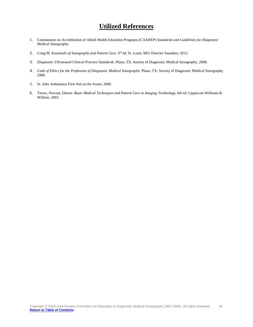# **Utilized References**

- <span id="page-33-0"></span>1. Commission on Accreditation of Allied Health Education Programs (CAAHEP) *Standards and Guidelines for Diagnostic Medical Sonography*.
- 2. Craig M. *Essentials of Sonography and Patient Care*, 3rd ed. St. Louis, MO: Elsevier Saunders; 2012.
- 3. *Diagnostic Ultrasound Clinical Practice Standards.* Plano, TX: Society of Diagnostic Medical Sonography; 2008.
- 4. *Code of Ethics for the Profession of Diagnostic Medical Sonography*. Plano, TX: Society of Diagnostic Medical Sonography 2008.
- 5. St. John Ambulance First Aid on the Scene; 2000.
- 6. Torres, Norcutt, Dutton. *Basic Medical Techniques and Patient Care in Imaging Technology*, 6th ed. Lippincott Williams & Wilkins; 2003.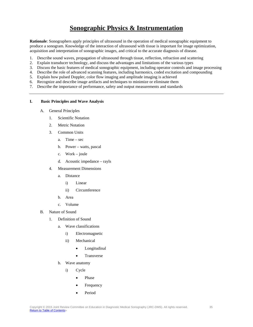# **Sonographic Physics & Instrumentation**

<span id="page-34-0"></span>**Rationale**: Sonographers apply principles of ultrasound in the operation of medical sonographic equipment to produce a sonogram. Knowledge of the interaction of ultrasound with tissue is important for image optimization, acquisition and interpretation of sonographic images, and critical to the accurate diagnosis of disease.

- 1. Describe sound waves, propagation of ultrasound through tissue, reflection, refraction and scattering
- 2. Explain transducer technology, and discuss the advantages and limitations of the various types
- 3. Discuss the basic features of medical sonographic equipment, including operator controls and image processing
- 4. Describe the role of advanced scanning features, including harmonics, coded excitation and compounding
- 5. Explain how pulsed Doppler, color flow imaging and amplitude imaging is achieved
- 6. Recognize and describe image artifacts and techniques to minimize or eliminate them
- 7. Describe the importance of performance, safety and output measurements and standards

#### <span id="page-34-1"></span>**I. Basic Principles and Wave Analysis**

- A. General Principles
	- 1. Scientific Notation
	- 2. Metric Notation
	- 3. Common Units
		- a. Time sec
		- b. Power watts, pascal
		- c. Work joule
		- d. Acoustic impedance rayls
	- 4. Measurement Dimensions
		- a. Distance
			- i) Linear
			- ii) Circumference
		- b. Area
		- c. Volume
- B. Nature of Sound
	- 1. Definition of Sound
		- a. Wave classifications
			- i) Electromagnetic
			- ii) Mechanical
				- Longitudinal
				- Transverse
		- b. Wave anatomy
			- i) Cycle
				- Phase
				- **Frequency**
				- Period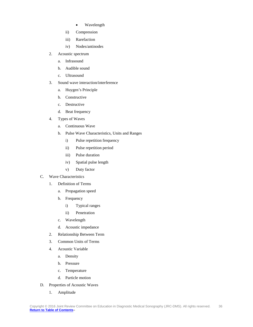- Wavelength
- ii) Compression
- iii) Rarefaction
- iv) Nodes/antinodes
- 2. Acoustic spectrum
	- a. Infrasound
	- b. Audible sound
	- c. Ultrasound
- 3. Sound wave interaction/interference
	- a. Huygen's Principle
	- b. Constructive
	- c. Destructive
	- d. Beat frequency
- 4. Types of Waves
	- a. Continuous Wave
	- b. Pulse Wave Characteristics, Units and Ranges
		- i) Pulse repetition frequency
		- ii) Pulse repetition period
		- iii) Pulse duration
		- iv) Spatial pulse length
		- v) Duty factor
- C. Wave Characteristics
	- 1. Definition of Terms
		- a. Propagation speed
		- b. Frequency
			- i) Typical ranges
			- ii) Penetration
		- c. Wavelength
		- d. Acoustic impedance
	- 2. Relationship Between Term
	- 3. Common Units of Terms
	- 4. Acoustic Variable
		- a. Density
		- b. Pressure
		- c. Temperature
		- d. Particle motion
- D. Properties of Acoustic Waves
	- 1. Amplitude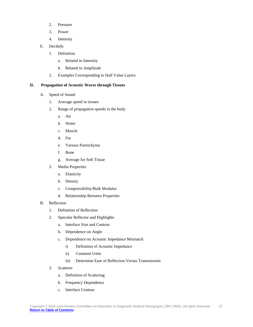- 2. Pressure
- 3. Power
- 4. Intensity
- E. Decibels
	- 1. Definition
		- a. Related to Intensity
		- b. Related to Amplitude
	- 2. Examples Corresponding to Half Value Layers

#### <span id="page-36-0"></span>**II. Propagation of Acoustic Waves through Tissues**

- A. Speed of Sound
	- 1. Average speed in tissues
	- 2. Range of propagation speeds in the body
		- a. Air
		- b. Water
		- c. Muscle
		- d. Fat
		- e. Various Parenchyma
		- f. Bone
		- g. Average for Soft Tissue
	- 3. Media Properties
		- a. Elasticity
		- b. Density
		- c. Compressibility/Bulk Modulus
		- d. Relationship Between Properties
- B. Reflection
	- 1. Definition of Reflection
	- 2. Specular Reflector and Highlights
		- a. Interface Size and Contour
		- b. Dependence on Angle
		- c. Dependence on Acoustic Impedance Mismatch
			- i) Definition of Acoustic Impedance
			- ii) Common Units
			- iii) Determine Ease of Reflection Versus Transmission
	- 3. Scatterer
		- a. Definition of Scattering
		- b. Frequency Dependence
		- c. Interface Contour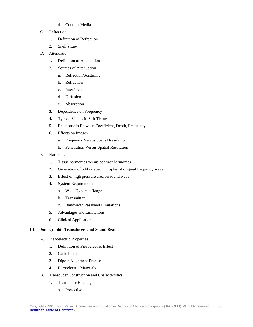- d. Contrast Media
- C. Refraction
	- 1. Definition of Refraction
	- 2. Snell's Law
- D. Attenuation
	- 1. Definition of Attenuation
	- 2. Sources of Attenuation
		- a. Reflection/Scattering
		- b. Refraction
		- c. Interference
		- d. Diffusion
		- e. Absorption
	- 3. Dependence on Frequency
	- 4. Typical Values in Soft Tissue
	- 5. Relationship Between Coefficient, Depth, Frequency
	- 6. Effects on Images
		- a. Frequency Versus Spatial Resolution
		- b. Penetration Versus Spatial Resolution
- E. Harmonics
	- 1. Tissue harmonics versus contrast harmonics
	- 2. Generation of odd or even multiples of original frequency wave
	- 3. Effect of high pressure area on sound wave
	- 4. System Requirements
		- a. Wide Dynamic Range
		- b. Transmitter
		- c. Bandwidth/Passband Limitations
	- 5. Advantages and Limitations
	- 6. Clinical Applications

### <span id="page-37-0"></span>**III. Sonographic Transducers and Sound Beams**

- A. Piezoelectric Properties
	- 1. Definition of Piezoelectric Effect
	- 2. Curie Point
	- 3. Dipole Alignment Process
	- 4. Piezoelectric Materials
- B. Transducer Construction and Characteristics
	- 1. Transducer Housing
		- a. Protective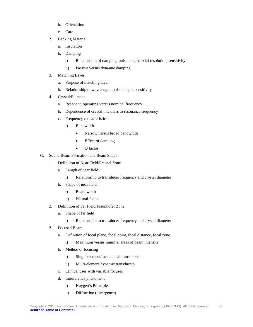- b. Orientation
- c. Care
- 2. Backing Material
	- a. Insulation
	- b. Damping
		- i) Relationship of damping, pulse length, axial resolution, sensitivity
		- ii) Passive versus dynamic damping
- 3. Matching Layer
	- a. Purpose of matching layer
	- b. Relationship to wavelength, pulse length, sensitivity
- 4. Crystal/Element
	- a. Resonant, operating versus nominal frequency
	- b. Dependence of crystal thickness to resonance frequency
	- c. Frequency characteristics
		- i) Bandwidth
			- Narrow versus broad bandwidth
			- Effect of damping
			- Q factor
- C. Sound Beam Formation and Beam Shape
	- 1. Definition of Near Field/Fresnel Zone
		- a. Length of near field
			- i) Relationship to transducer frequency and crystal diameter
		- b. Shape of near field
			- i) Beam width
			- ii) Natural focus
	- 2. Definition of Far Field/Fraunhofer Zone
		- a. Shape of far field
			- i) Relationship to transducer frequency and crystal diameter
	- 3. Focused Beam
		- a. Definition of focal plane, focal point, focal distance, focal zone
			- i) Maximum versus minimal areas of beam intensity
		- b. Method of focusing
			- i) Single element/mechanical transducers
			- ii) Multi-element/dynamic transducers
		- c. Clinical uses with variable focuses
		- d. Interference phenomena
			- i) Huygen's Principle
			- ii) Diffraction (divergence)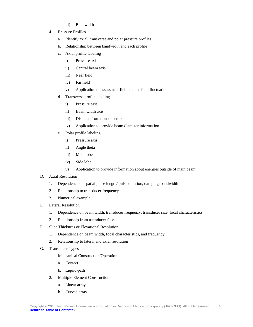- iii) Bandwidth
- 4. Pressure Profiles
	- a. Identify axial, transverse and polar pressure profiles
	- b. Relationship between bandwidth and each profile
	- c. Axial profile labeling
		- i) Pressure axis
		- ii) Central beam axis
		- iii) Near field
		- iv) Far field
		- v) Application to assess near field and far field fluctuations
	- d. Transverse profile labeling
		- i) Pressure axis
		- ii) Beam width axis
		- iii) Distance from transducer axis
		- iv) Application to provide beam diameter information
	- e. Polar profile labeling
		- i) Pressure axis
		- ii) Angle theta
		- iii) Main lobe
		- iv) Side lobe
		- v) Application to provide information about energies outside of main beam
- D. Axial Resolution
	- 1. Dependence on spatial pulse length/ pulse duration, damping, bandwidth
	- 2. Relationship to transducer frequency
	- 3. Numerical example
- E. Lateral Resolution
	- 1. Dependence on beam width, transducer frequency, transducer size, focal characteristics
	- 2. Relationship from transducer face
- F. Slice Thickness or Elevational Resolution
	- 1. Dependence on beam width, focal characteristics, and frequency
	- 2. Relationship to lateral and axial resolution
- G. Transducer Types
	- 1. Mechanical Construction/Operation
		- a. Contact
		- b. Liquid-path
	- 2. Multiple Element Construction
		- a. Linear array
		- b. Curved array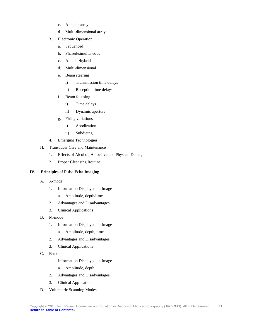- c. Annular array
- d. Multi-dimensional array
- 3. Electronic Operation
	- a. Sequenced
	- b. Phased/simultaneous
	- c. Annular/hybrid
	- d. Multi-dimensional
	- e. Beam steering
		- i) Transmission time delays
		- ii) Reception time delays
	- f. Beam focusing
		- i) Time delays
		- ii) Dynamic aperture
	- g. Firing variations
		- i) Apodization
		- ii) Subdicing
- 4. Emerging Technologies
- H. Transducer Care and Maintenance
	- 1. Effects of Alcohol, Autoclave and Physical Damage
	- 2. Proper Cleansing Routine

### <span id="page-40-0"></span>**IV. Principles of Pulse Echo Imaging**

- A. A-mode
	- 1. Information Displayed on Image
		- a. Amplitude, depth/time
	- 2. Advantages and Disadvantages
	- 3. Clinical Applications
- B. M-mode
	- 1. Information Displayed on Image
		- a. Amplitude, depth, time
	- 2. Advantages and Disadvantages
	- 3. Clinical Applications
- C. B-mode
	- 1. Information Displayed on Image
		- a. Amplitude, depth
	- 2. Advantages and Disadvantages
	- 3. Clinical Applications
- D. Volumetric Scanning Modes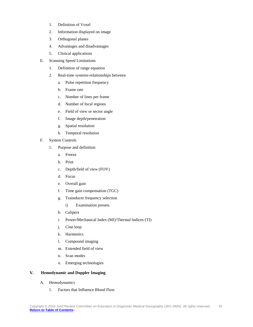- 1. Definition of Voxel
- 2. Information displayed on image
- 3. Orthogonal planes
- 4. Advantages and disadvantages
- 5. Clinical applications
- E. Scanning Speed Limitations
	- 1. Definition of range equation
	- 2. Real-time systems-relationships between
		- a. Pulse repetition frequency
		- b. Frame rate
		- c. Number of lines per frame
		- d. Number of focal regions
		- e. Field of view or sector angle
		- f. Image depth/penetration
		- g. Spatial resolution
		- h. Temporal resolution
- F. System Controls
	- 1. Purpose and definition
		- a. Freeze
		- b. Print
		- c. Depth/field of view (FOV)
		- d. Focus
		- e. Overall gain
		- f. Time gain compensation (TGC)
		- g. Transducer frequency selection
			- i) Examination presets
		- h. Calipers
		- i. Power/Mechanical Index (MI)/Thermal Indices (TI)
		- j. Cine loop
		- k. Harmonics
		- l. Compound imaging
		- m. Extended field of view
		- n. Scan modes
		- o. Emerging technologies

### <span id="page-41-0"></span>**V. Hemodynamic and Doppler Imaging**

- A. Hemodynamics
	- 1. Factors that Influence Blood Flow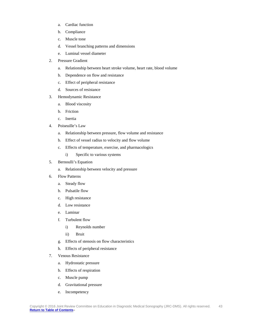- a. Cardiac function
- b. Compliance
- c. Muscle tone
- d. Vessel branching patterns and dimensions
- e. Luminal vessel diameter
- 2. Pressure Gradient
	- a. Relationship between heart stroke volume, heart rate, blood volume
	- b. Dependence on flow and resistance
	- c. Effect of peripheral resistance
	- d. Sources of resistance
- 3. Hemodynamic Resistance
	- a. Blood viscosity
	- b. Friction
	- c. Inertia
- 4. Poiseuille's Law
	- a. Relationship between pressure, flow volume and resistance
	- b. Effect of vessel radius to velocity and flow volume
	- c. Effects of temperature, exercise, and pharmacologics
		- i) Specific to various systems
- 5. Bernoulli's Equation
	- a. Relationship between velocity and pressure
- 6. Flow Patterns
	- a. Steady flow
	- b. Pulsatile flow
	- c. High resistance
	- d. Low resistance
	- e. Laminar
	- f. Turbulent flow
		- i) Reynolds number
		- ii) Bruit
	- g. Effects of stenosis on flow characteristics
	- h. Effects of peripheral resistance
- 7. Venous Resistance
	- a. Hydrostatic pressure
	- b. Effects of respiration
	- c. Muscle pump
	- d. Gravitational pressure
	- e. Incompetency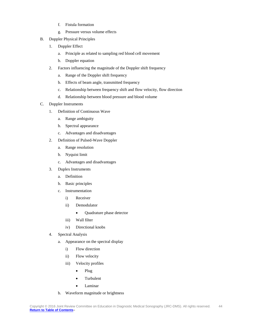- f. Fistula formation
- g. Pressure versus volume effects
- B. Doppler Physical Principles
	- 1. Doppler Effect
		- a. Principle as related to sampling red blood cell movement
		- b. Doppler equation
	- 2. Factors influencing the magnitude of the Doppler shift frequency
		- a. Range of the Doppler shift frequency
		- b. Effects of beam angle, transmitted frequency
		- c. Relationship between frequency shift and flow velocity, flow direction
		- d. Relationship between blood pressure and blood volume
- C. Doppler Instruments
	- 1. Definition of Continuous Wave
		- a. Range ambiguity
		- b. Spectral appearance
		- c. Advantages and disadvantages
	- 2. Definition of Pulsed-Wave Doppler
		- a. Range resolution
		- b. Nyquist limit
		- c. Advantages and disadvantages
	- 3. Duplex Instruments
		- a. Definition
		- b. Basic principles
		- c. Instrumentation
			- i) Receiver
			- ii) Demodulator
				- Quadrature phase detector
			- iii) Wall filter
			- iv) Directional knobs
	- 4. Spectral Analysis
		- a. Appearance on the spectral display
			- i) Flow direction
			- ii) Flow velocity
			- iii) Velocity profiles
				- Plug
				- Turbulent
				- Laminar
		- b. Waveform magnitude or brightness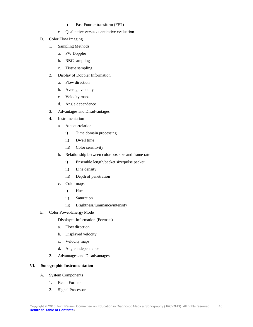- i) Fast Fourier transform (FFT)
- c. Qualitative versus quantitative evaluation
- D. Color Flow Imaging
	- 1. Sampling Methods
		- a. PW Doppler
		- b. RBC sampling
		- c. Tissue sampling
	- 2. Display of Doppler Information
		- a. Flow direction
		- b. Average velocity
		- c. Velocity maps
		- d. Angle dependence
	- 3. Advantages and Disadvantages
	- 4. Instrumentation
		- a. Autocorrelation
			- i) Time domain processing
			- ii) Dwell time
			- iii) Color sensitivity
		- b. Relationship between color box size and frame rate
			- i) Ensemble length/packet size/pulse packet
			- ii) Line density
			- iii) Depth of penetration
		- c. Color maps
			- i) Hue
			- ii) Saturation
			- iii) Brightness/luminance/intensity
- E. Color Power/Energy Mode
	- 1. Displayed Information (Formats)
		- a. Flow direction
		- b. Displayed velocity
		- c. Velocity maps
		- d. Angle independence
	- 2. Advantages and Disadvantages

### <span id="page-44-0"></span>**VI. Sonographic Instrumentation**

- A. System Components
	- 1. Beam Former
	- 2. Signal Processor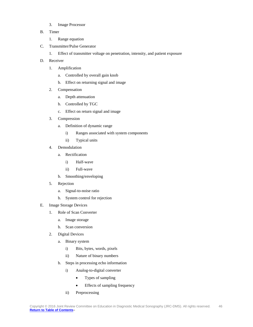- 3. Image Processor
- B. Timer
	- 1. Range equation
- C. Transmitter/Pulse Generator
	- 1. Effect of transmitter voltage on penetration, intensity, and patient exposure
- D. Receiver
	- 1. Amplification
		- a. Controlled by overall gain knob
		- b. Effect on returning signal and image
	- 2. Compensation
		- a. Depth attenuation
		- b. Controlled by TGC
		- c. Effect on return signal and image
	- 3. Compression
		- a. Definition of dynamic range
			- i) Ranges associated with system components
			- ii) Typical units
	- 4. Demodulation
		- a. Rectification
			- i) Half-wave
			- ii) Full-wave
		- b. Smoothing/enveloping
	- 5. Rejection
		- a. Signal-to-noise ratio
		- b. System control for rejection
- E. Image Storage Devices
	- 1. Role of Scan Converter
		- a. Image storage
		- b. Scan conversion
	- 2. Digital Devices
		- a. Binary system
			- i) Bits, bytes, words, pixels
			- ii) Nature of binary numbers
		- b. Steps in processing echo information
			- i) Analog-to-digital converter
				- Types of sampling
				- Effects of sampling frequency
			- ii) Preprocessing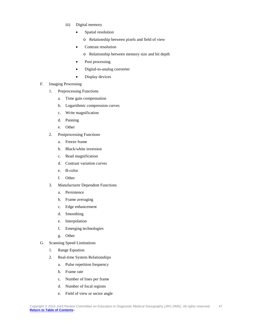- iii) Digital memory
	- Spatial resolution
		- o Relationship between pixels and field of view
	- Contrast resolution
		- o Relationship between memory size and bit depth
	- Post processing
	- Digital-to-analog converter
	- Display devices
- F. Imaging Processing
	- 1. Preprocessing Functions
		- a. Time gain compensation
		- b. Logarithmic compression curves
		- c. Write magnification
		- d. Panning
		- e. Other
	- 2. Postprocessing Functions
		- a. Freeze frame
		- b. Black/white inversion
		- c. Read magnification
		- d. Contrast variation curves
		- e. B-color
		- f. Other
	- 3. Manufacturer Dependent Functions
		- a. Persistence
		- b. Frame averaging
		- c. Edge enhancement
		- d. Smoothing
		- e. Interpolation
		- f. Emerging technologies
		- g. Other
- G. Scanning Speed Limitations
	- 1. Range Equation
	- 2. Real-time System Relationships
		- a. Pulse repetition frequency
		- b. Frame rate
		- c. Number of lines per frame
		- d. Number of focal regions
		- e. Field of view or sector angle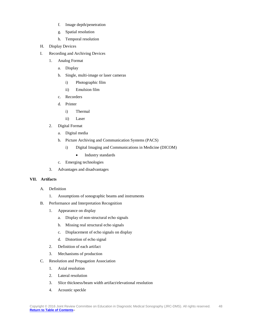- f. Image depth/penetration
- g. Spatial resolution
- h. Temporal resolution
- H. Display Devices
- I. Recording and Archiving Devices
	- 1. Analog Format
		- a. Display
		- b. Single, multi-image or laser cameras
			- i) Photographic film
			- ii) Emulsion film
		- c. Recorders
		- d. Printer
			- i) Thermal
			- ii) Laser
	- 2. Digital Format
		- a. Digital media
		- b. Picture Archiving and Communication Systems (PACS)
			- i) Digital Imaging and Communications in Medicine (DICOM)
				- Industry standards
		- c. Emerging technologies
	- 3. Advantages and disadvantages

### <span id="page-47-0"></span>**VII. Artifacts**

- A. Definition
	- 1. Assumptions of sonographic beams and instruments
- B. Performance and Interpretation Recognition
	- 1. Appearance on display
		- a. Display of non-structural echo signals
		- b. Missing real structural echo signals
		- c. Displacement of echo signals on display
		- d. Distortion of echo signal
	- 2. Definition of each artifact
	- 3. Mechanisms of production
- C. Resolution and Propagation Association
	- 1. Axial resolution
	- 2. Lateral resolution
	- 3. Slice thickness/beam width artifact/elevational resolution
	- 4. Acoustic speckle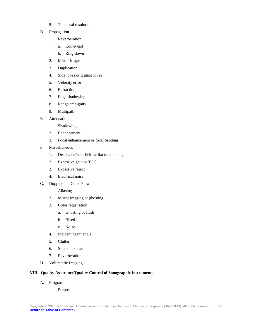- 5. Temporal resolution
- D. Propagation
	- 1. Reverberation
		- a. Comet-tail
		- b. Ring-down
	- 2. Mirror image
	- 3. Duplication
	- 4. Side lobes or grating lobes
	- 5. Velocity error
	- 6. Refraction
	- 7. Edge shadowing
	- 8. Range ambiguity
	- 9. Multipath
- E. Attenuation
	- 1. Shadowing
	- 2. Enhancement
	- 3. Focal enhancement or focal banding
- F. Miscellaneous
	- 1. Dead zone/near field artifact/main bang
	- 2. Excessive gain or TGC
	- 3. Excessive reject
	- 4. Electrical noise
- G. Doppler and Color Flow
	- 1. Aliasing
	- 2. Mirror imaging or ghosting
	- 3. Color registration
		- a. Ghosting or flash
		- b. Bleed
		- c. Noise
	- 4. Incident beam angle
	- 5. Clutter
	- 6. Slice thickness
	- 7. Reverberation
- H. Volumetric Imaging

### <span id="page-48-0"></span>**VIII. Quality Assurance/Quality Control of Sonographic Instruments**

- A. Program
	- 1. Purpose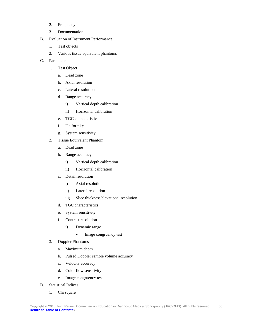- 2. Frequency
- 3. Documentation
- B. Evaluation of Instrument Performance
	- 1. Test objects
	- 2. Various tissue equivalent phantoms
- C. Parameters
	- 1. Test Object
		- a. Dead zone
		- b. Axial resolution
		- c. Lateral resolution
		- d. Range accuracy
			- i) Vertical depth calibration
			- ii) Horizontal calibration
		- e. TGC characteristics
		- f. Uniformity
		- g. System sensitivity
	- 2. Tissue Equivalent Phantom
		- a. Dead zone
		- b. Range accuracy
			- i) Vertical depth calibration
			- ii) Horizontal calibration
		- c. Detail resolution
			- i) Axial resolution
			- ii) Lateral resolution
			- iii) Slice thickness/elevational resolution
		- d. TGC characteristics
		- e. System sensitivity
		- f. Contrast resolution
			- i) Dynamic range
				- Image congruency test
	- 3. Doppler Phantoms
		- a. Maximum depth
		- b. Pulsed Doppler sample volume accuracy
		- c. Velocity accuracy
		- d. Color flow sensitivity
		- e. Image congruency test
- D. Statistical Indices
	- 1. Chi square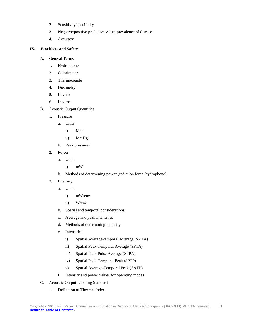- 2. Sensitivity/specificity
- 3. Negative/positive predictive value; prevalence of disease
- 4. Accuracy

### <span id="page-50-0"></span>**IX. Bioeffects and Safety**

- A. General Terms
	- 1. Hydrophone
	- 2. Calorimeter
	- 3. Thermocouple
	- 4. Dosimetry
	- 5. In vivo
	- 6. In vitro
- B. Acoustic Output Quantities
	- 1. Pressure
		- a. Units
			- i) Mpa
			- ii) MmHg
		- b. Peak pressures
	- 2. Power
		- a. Units
			- i) mW
		- b. Methods of determining power (radiation force, hydrophone)
	- 3. Intensity
		- a. Units
			- i) mW/cm2
			- ii)  $W/cm^2$
		- b. Spatial and temporal considerations
		- c. Average and peak intensities
		- d. Methods of determining intensity
		- e. Intensities
			- i) Spatial Average-temporal Average (SATA)
			- ii) Spatial Peak-Temporal Average (SPTA)
			- iii) Spatial Peak-Pulse Average (SPPA)
			- iv) Spatial Peak-Temporal Peak (SPTP)
			- v) Spatial Average-Temporal Peak (SATP)
		- f. Intensity and power values for operating modes
- C. Acoustic Output Labeling Standard
	- 1. Definition of Thermal Index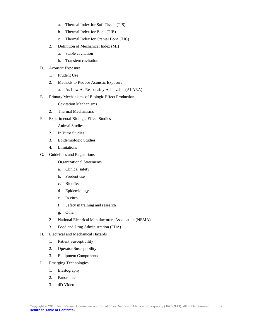- a. Thermal Index for Soft Tissue (TIS)
- b. Thermal Index for Bone (TIB)
- c. Thermal Index for Cranial Bone (TIC)
- 2. Definition of Mechanical Index (MI)
	- a. Stable cavitation
	- b. Transient cavitation
- D. Acoustic Exposure
	- 1. Prudent Use
	- 2. Methods to Reduce Acoustic Exposure
		- a. As Low As Reasonably Achievable (ALARA)
- E. Primary Mechanisms of Biologic Effect Production
	- 1. Cavitation Mechanisms
	- 2. Thermal Mechanisms
- F. Experimental Biologic Effect Studies
	- 1. Animal Studies
	- 2. In Vitro Studies
	- 3. Epidemiologic Studies
	- 4. Limitations
- G. Guidelines and Regulations
	- 1. Organizational Statements
		- a. Clinical safety
		- b. Prudent use
		- c. Bioeffects
		- d. Epidemiology
		- e. In vitro
		- f. Safety in training and research
		- g. Other
	- 2. National Electrical Manufacturers Association (NEMA)
	- 3. Food and Drug Administration (FDA)
- H. Electrical and Mechanical Hazards
	- 1. Patient Susceptibility
	- 2. Operator Susceptibility
	- 3. Equipment Components
- I. Emerging Technologies
	- 1. Elastography
	- 2. Panoramic
	- 3. 4D Video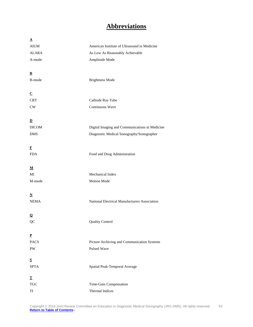# **Abbreviations**

<span id="page-52-0"></span>

| $\underline{\mathbf{A}}$ |                                                |
|--------------------------|------------------------------------------------|
| $\rm{AIUM}$              | American Institute of Ultrasound in Medicine   |
| <b>ALARA</b>             | As Low As Reasonably Achievable                |
| A-mode                   | Amplitude Mode                                 |
|                          |                                                |
| $\underline{\mathbf{B}}$ |                                                |
| B-mode                   | <b>Brightness Mode</b>                         |
|                          |                                                |
| $\underline{\mathbf{C}}$ |                                                |
| <b>CRT</b>               | Cathode Ray Tube                               |
| $\mathrm{CW}$            | Continuous Wave                                |
|                          |                                                |
| $\mathbf{D}$             |                                                |
| <b>DICOM</b>             | Digital Imaging and Communications in Medicine |
| <b>DMS</b>               | Diagnostic Medical Sonography/Sonographer      |
|                          |                                                |
| F                        |                                                |
| <b>FDA</b>               | Food and Drug Administration                   |
|                          |                                                |
| $\underline{\mathbf{M}}$ |                                                |
| MI                       | Mechanical Index                               |
| M-mode                   | Motion Mode                                    |
|                          |                                                |
| $\mathbf N$              |                                                |
| <b>NEMA</b>              | National Electrical Manufacturers Association  |
| $\Omega$                 |                                                |
| QC                       | <b>Quality Control</b>                         |
|                          |                                                |
| $\mathbf{P}$             |                                                |
| <b>PACS</b>              | Picture Archiving and Communication Systems    |
| PW                       | Pulsed Wave                                    |
|                          |                                                |
| ${\bf S}$                |                                                |
| <b>SPTA</b>              | Spatial Peak-Temporal Average                  |
| $\mathbf T$              |                                                |
| $\operatorname{TGC}$     | Time-Gain Compensation                         |
| TI                       | Thermal Indices                                |
|                          |                                                |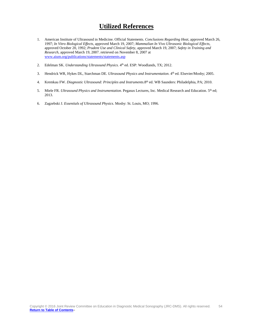### **Utilized References**

- <span id="page-53-0"></span>1. American Institute of Ultrasound in Medicine. Official Statements. *Conclusions Regarding Heat,* approved March 26, 1997; *In Vitro Biological Effects,* approved March 19, 2007; *Mammalian In Vivo Ultrasonic Biological Effects,* approved October 20, 1992; *Prudent Use and Clinical Safety,* approved March 19, 2007; *Safety in Training and Research,* approved March 19, 2007. retrieved on November 8, 2007 at [www.aium.org/publications/statements/statements.asp](http://www.aium.org/publications/statements/statements.asp)
- 2. Edelman SK. *Understanding Ultrasound Physics*. 4th ed. ESP: Woodlands, TX; 2012.
- 3. Hendrick WR, Hykes DL, Starchman DE. *Ultrasound Physics and Instrumentation*. 4th ed. Elsevier/Mosby; 2005.
- 4. Kremkau FW. *Diagnostic Ultrasound: Principles and Instruments*.8th ed. WB Saunders: Philadelphia, PA; 2010.
- 5. Miele FR. *Ultrasound Physics and Instrumentation.* Pegasus Lectures, Inc. Medical Research and Education. 5th ed; 2013.
- 6. Zagzebski J. *Essentials of Ultrasound Physics*. Mosby: St. Louis, MO; 1996.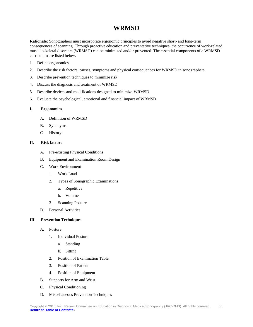### **WRMSD**

<span id="page-54-0"></span>**Rationale:** Sonographers must incorporate ergonomic principles to avoid negative short- and long-term consequences of scanning. Through proactive education and preventative techniques, the occurrence of work-related musculoskeletal disorders (WRMSD) can be minimized and/or prevented. The essential components of a WRMSD curriculum are listed below.

- 1. Define ergonomics
- 2. Describe the risk factors, causes, symptoms and physical consequences for WRMSD in sonographers
- 3. Describe prevention techniques to minimize risk
- 4. Discuss the diagnosis and treatment of WRMSD
- 5. Describe devices and modifications designed to minimize WRMSD
- 6. Evaluate the psychological, emotional and financial impact of WRMSD

### <span id="page-54-1"></span>**I. Ergonomics**

- A. Definition of WRMSD
- B. Synonyms
- C. History

### <span id="page-54-2"></span>**II. Risk factors**

- A. Pre-existing Physical Conditions
- B. Equipment and Examination Room Design
- C. Work Environment
	- 1. Work Load
	- 2. Types of Sonographic Examinations
		- a. Repetitive
		- b. Volume
	- 3. Scanning Posture
- D. Personal Activities

#### <span id="page-54-3"></span>**III. Prevention Techniques**

- A. Posture
	- 1. Individual Posture
		- a. Standing
		- b. Sitting
	- 2. Position of Examination Table
	- 3. Position of Patient
	- 4. Position of Equipment
- B. Supports for Arm and Wrist
- C. Physical Conditioning
- D. Miscellaneous Prevention Techniques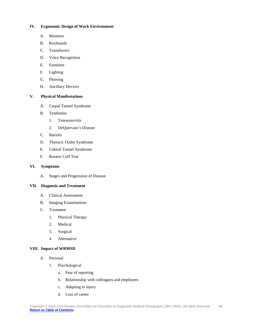### <span id="page-55-0"></span>**IV. Ergonomic Design of Work Environment**

- A. Monitors
- B. Keyboards
- C. Transducers
- D. Voice Recognition
- E. Furniture
- F. Lighting
- G. Flooring
- H. Ancillary Devices

### <span id="page-55-1"></span>**V. Physical Manifestations**

- A. Carpal Tunnel Syndrome
- B. Tendonitis
	- 1. Tenosynovitis
	- 2. DeQuervain's Disease
- C. Bursitis
- D. Thoracic Outlet Syndrome
- E. Cubital Tunnel Syndrome
- F. Rotator Cuff Tear

### <span id="page-55-2"></span>**VI. Symptoms**

A. Stages and Progression of Disease

### <span id="page-55-3"></span>**VII. Diagnosis and Treatment**

- A. Clinical Assessment
- B. Imaging Examinations
- C. Treatment
	- 1. Physical Therapy
	- 2. Medical
	- 3. Surgical
	- 4. Alternative

### <span id="page-55-4"></span>**VIII. Impact of WRMSD**

- A. Personal
	- 1. Psychological
		- a. Fear of reporting
		- b. Relationship with colleagues and employers
		- c. Adapting to injury
		- d. Loss of career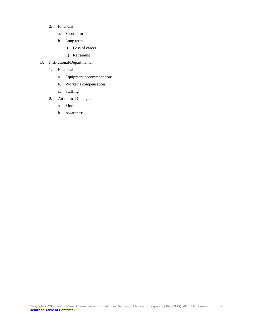- 2. Financial
	- a. Short term
	- b. Long term
		- i) Loss of career
		- ii) Retraining
- B. Institutional/Departmental
	- 1. Financial
		- a. Equipment accommodations
		- b. Worker's compensation
		- c. Staffing
	- 2. Attitudinal Changes
		- a. Morale
		- b. Awareness